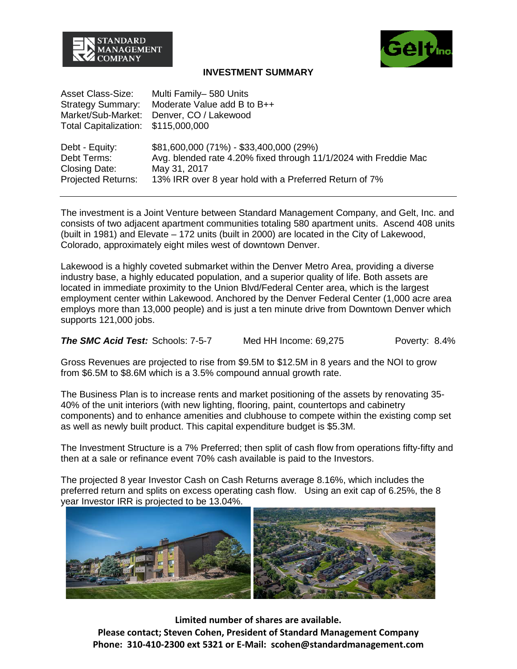



## **INVESTMENT SUMMARY**

| <b>Asset Class-Size:</b>     | Multi Family-580 Units                                           |
|------------------------------|------------------------------------------------------------------|
| <b>Strategy Summary:</b>     | Moderate Value add B to B++                                      |
| Market/Sub-Market:           | Denver, CO / Lakewood                                            |
| <b>Total Capitalization:</b> | \$115,000,000                                                    |
|                              |                                                                  |
| Debt - Equity:               | \$81,600,000 (71%) - \$33,400,000 (29%)                          |
| Debt Terms:                  | Avg. blended rate 4.20% fixed through 11/1/2024 with Freddie Mac |
| Closing Date:                | May 31, 2017                                                     |
| <b>Projected Returns:</b>    | 13% IRR over 8 year hold with a Preferred Return of 7%           |

The investment is a Joint Venture between Standard Management Company, and Gelt, Inc. and consists of two adjacent apartment communities totaling 580 apartment units. Ascend 408 units (built in 1981) and Elevate – 172 units (built in 2000) are located in the City of Lakewood, Colorado, approximately eight miles west of downtown Denver.

Lakewood is a highly coveted submarket within the Denver Metro Area, providing a diverse industry base, a highly educated population, and a superior quality of life. Both assets are located in immediate proximity to the Union Blvd/Federal Center area, which is the largest employment center within Lakewood. Anchored by the Denver Federal Center (1,000 acre area employs more than 13,000 people) and is just a ten minute drive from Downtown Denver which supports 121,000 jobs.

*The SMC Acid Test:* Schools: 7-5-7 Med HH Income: 69,275 Poverty: 8.4%

Gross Revenues are projected to rise from \$9.5M to \$12.5M in 8 years and the NOI to grow from \$6.5M to \$8.6M which is a 3.5% compound annual growth rate.

The Business Plan is to increase rents and market positioning of the assets by renovating 35- 40% of the unit interiors (with new lighting, flooring, paint, countertops and cabinetry components) and to enhance amenities and clubhouse to compete within the existing comp set as well as newly built product. This capital expenditure budget is \$5.3M.

The Investment Structure is a 7% Preferred; then split of cash flow from operations fifty-fifty and then at a sale or refinance event 70% cash available is paid to the Investors.

The projected 8 year Investor Cash on Cash Returns average 8.16%, which includes the preferred return and splits on excess operating cash flow. Using an exit cap of 6.25%, the 8 year Investor IRR is projected to be 13.04%.



**Limited number of shares are available. Please contact; Steven Cohen, President of Standard Management Company Phone: 310-410-2300 ext 5321 or E-Mail: scohen@standardmanagement.com**